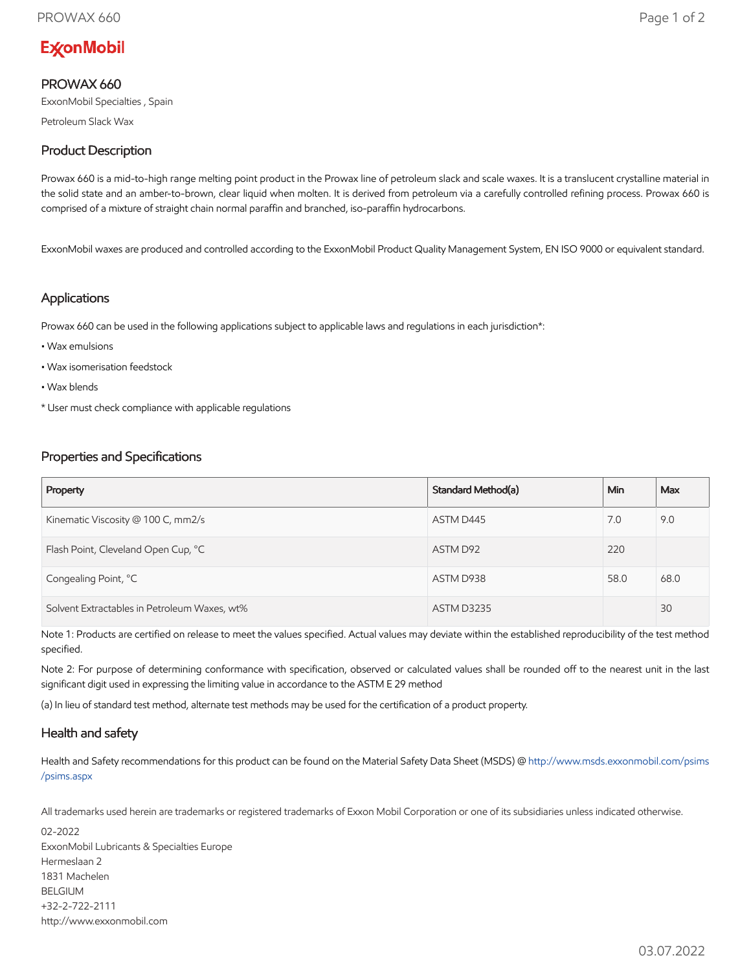# **ExconMobil**

# PROWAX 660

ExxonMobil Specialties , Spain

Petroleum Slack Wax

# Product Description

Prowax 660 is a mid-to-high range melting point product in the Prowax line of petroleum slack and scale waxes. It is a translucent crystalline material in the solid state and an amber-to-brown, clear liquid when molten. It is derived from petroleum via a carefully controlled refining process. Prowax 660 is comprised of a mixture of straight chain normal paraffin and branched, iso-paraffin hydrocarbons.

ExxonMobil waxes are produced and controlled according to the ExxonMobil Product Quality Management System, EN ISO 9000 or equivalent standard.

#### Applications

Prowax 660 can be used in the following applications subject to applicable laws and regulations in each jurisdiction\*:

- Wax emulsions
- Wax isomerisation feedstock
- Wax blends
- \* User must check compliance with applicable regulations

## Properties and Specifications

| Property                                     | Standard Method(a) | Min  | Max  |
|----------------------------------------------|--------------------|------|------|
| Kinematic Viscosity @ 100 C, mm2/s           | ASTM D445          | 7.0  | 9.0  |
| Flash Point, Cleveland Open Cup, °C          | ASTM D92           | 220  |      |
| Congealing Point, °C                         | ASTM D938          | 58.0 | 68.0 |
| Solvent Extractables in Petroleum Waxes, wt% | <b>ASTM D3235</b>  |      | 30   |

Note 1: Products are certified on release to meet the values specified. Actual values may deviate within the established reproducibility of the test method specified.

Note 2: For purpose of determining conformance with specification, observed or calculated values shall be rounded off to the nearest unit in the last significant digit used in expressing the limiting value in accordance to the ASTM E 29 method

(a) In lieu of standard test method, alternate test methods may be used for the certification of a product property.

## Health and safety

Health and Safety recommendations for this product can be found on the Material Safety Data Sheet (MSDS) @ [http://www.msds.exxonmobil.com/psims](http://www.msds.exxonmobil.com/psims/psims.aspx) /psims.aspx

All trademarks used herein are trademarks or registered trademarks of Exxon Mobil Corporation or one of its subsidiaries unless indicated otherwise.

02-2022 ExxonMobil Lubricants & Specialties Europe Hermeslaan 2 1831 Machelen BELGIUM +32-2-722-2111 http://www.exxonmobil.com